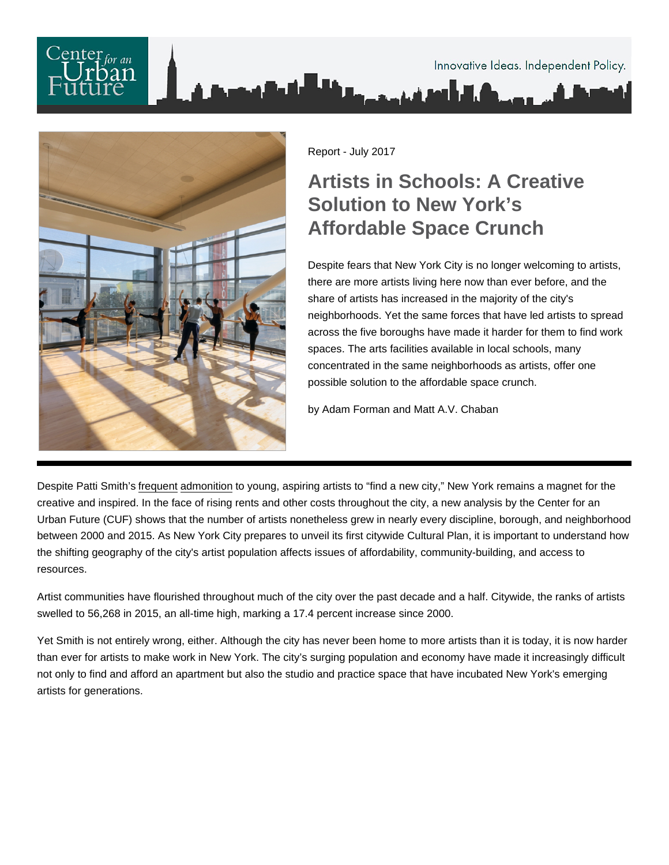Report - July 2017

## Artists in Schools: A Creative Solution to New York's Affordable Space Crunch

Despite fears that New York City is no longer welcoming to artists, there are more artists living here now than ever before, and the share of artists has increased in the majority of the city's neighborhoods. Yet the same forces that have led artists to spread across the five boroughs have made it harder for them to find work spaces. The arts facilities available in local schools, many concentrated in the same neighborhoods as artists, offer one possible solution to the affordable space crunch.

by Adam Forman and Matt A.V. Chaban

Despite Patti Smith's [frequent](http://vanishingnewyork.blogspot.com/2010/05/find-new-city.html) [admonition](http://www.elle.com/culture/books/news/a31004/new-york-city-then-and-now-according-to-patti-smith/) to young, aspiring artists to "find a new city," New York remains a magnet for the creative and inspired. In the face of rising rents and other costs throughout the city, a new analysis by the Center for an Urban Future (CUF) shows that the number of artists nonetheless grew in nearly every discipline, borough, and neighborhood between 2000 and 2015. As New York City prepares to unveil its first citywide Cultural Plan, it is important to understand how the shifting geography of the city's artist population affects issues of affordability, community-building, and access to resources.

Artist communities have flourished throughout much of the city over the past decade and a half. Citywide, the ranks of artists swelled to 56,268 in 2015, an all-time high, marking a 17.4 percent increase since 2000.

Yet Smith is not entirely wrong, either. Although the city has never been home to more artists than it is today, it is now harder than ever for artists to make work in New York. The city's surging population and economy have made it increasingly difficult not only to find and afford an apartment but also the studio and practice space that have incubated New York's emerging artists for generations.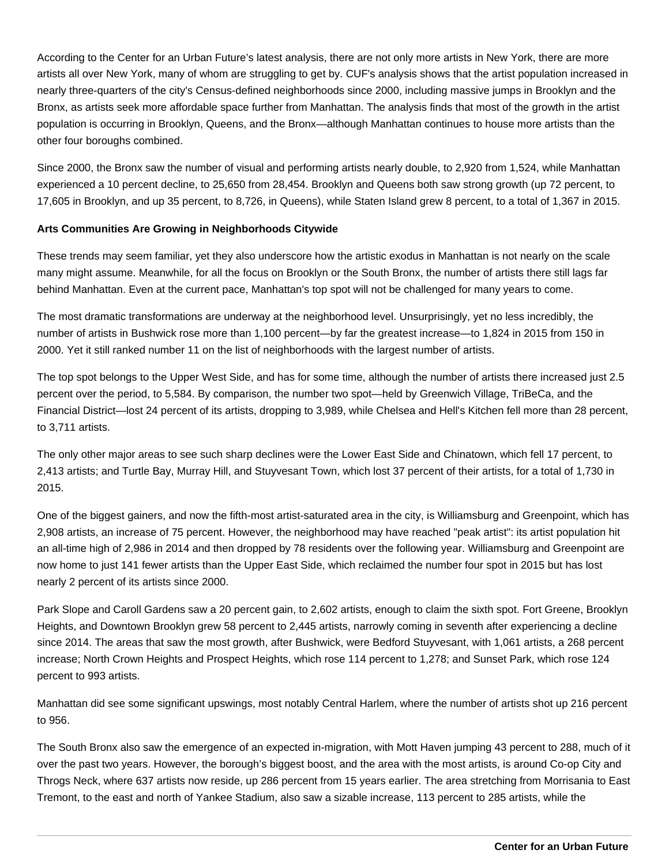According to the Center for an Urban Future's latest analysis, there are not only more artists in New York, there are more artists all over New York, many of whom are struggling to get by. CUF's analysis shows that the artist population increased in nearly three-quarters of the city's Census-defined neighborhoods since 2000, including massive jumps in Brooklyn and the Bronx, as artists seek more affordable space further from Manhattan. The analysis finds that most of the growth in the artist population is occurring in Brooklyn, Queens, and the Bronx—although Manhattan continues to house more artists than the other four boroughs combined.

Since 2000, the Bronx saw the number of visual and performing artists nearly double, to 2,920 from 1,524, while Manhattan experienced a 10 percent decline, to 25,650 from 28,454. Brooklyn and Queens both saw strong growth (up 72 percent, to 17,605 in Brooklyn, and up 35 percent, to 8,726, in Queens), while Staten Island grew 8 percent, to a total of 1,367 in 2015.

## **Arts Communities Are Growing in Neighborhoods Citywide**

These trends may seem familiar, yet they also underscore how the artistic exodus in Manhattan is not nearly on the scale many might assume. Meanwhile, for all the focus on Brooklyn or the South Bronx, the number of artists there still lags far behind Manhattan. Even at the current pace, Manhattan's top spot will not be challenged for many years to come.

The most dramatic transformations are underway at the neighborhood level. Unsurprisingly, yet no less incredibly, the number of artists in Bushwick rose more than 1,100 percent—by far the greatest increase—to 1,824 in 2015 from 150 in 2000. Yet it still ranked number 11 on the list of neighborhoods with the largest number of artists.

The top spot belongs to the Upper West Side, and has for some time, although the number of artists there increased just 2.5 percent over the period, to 5,584. By comparison, the number two spot—held by Greenwich Village, TriBeCa, and the Financial District—lost 24 percent of its artists, dropping to 3,989, while Chelsea and Hell's Kitchen fell more than 28 percent, to 3,711 artists.

The only other major areas to see such sharp declines were the Lower East Side and Chinatown, which fell 17 percent, to 2,413 artists; and Turtle Bay, Murray Hill, and Stuyvesant Town, which lost 37 percent of their artists, for a total of 1,730 in 2015.

One of the biggest gainers, and now the fifth-most artist-saturated area in the city, is Williamsburg and Greenpoint, which has 2,908 artists, an increase of 75 percent. However, the neighborhood may have reached "peak artist": its artist population hit an all-time high of 2,986 in 2014 and then dropped by 78 residents over the following year. Williamsburg and Greenpoint are now home to just 141 fewer artists than the Upper East Side, which reclaimed the number four spot in 2015 but has lost nearly 2 percent of its artists since 2000.

Park Slope and Caroll Gardens saw a 20 percent gain, to 2,602 artists, enough to claim the sixth spot. Fort Greene, Brooklyn Heights, and Downtown Brooklyn grew 58 percent to 2,445 artists, narrowly coming in seventh after experiencing a decline since 2014. The areas that saw the most growth, after Bushwick, were Bedford Stuyvesant, with 1,061 artists, a 268 percent increase; North Crown Heights and Prospect Heights, which rose 114 percent to 1,278; and Sunset Park, which rose 124 percent to 993 artists.

Manhattan did see some significant upswings, most notably Central Harlem, where the number of artists shot up 216 percent to 956.

The South Bronx also saw the emergence of an expected in-migration, with Mott Haven jumping 43 percent to 288, much of it over the past two years. However, the borough's biggest boost, and the area with the most artists, is around Co-op City and Throgs Neck, where 637 artists now reside, up 286 percent from 15 years earlier. The area stretching from Morrisania to East Tremont, to the east and north of Yankee Stadium, also saw a sizable increase, 113 percent to 285 artists, while the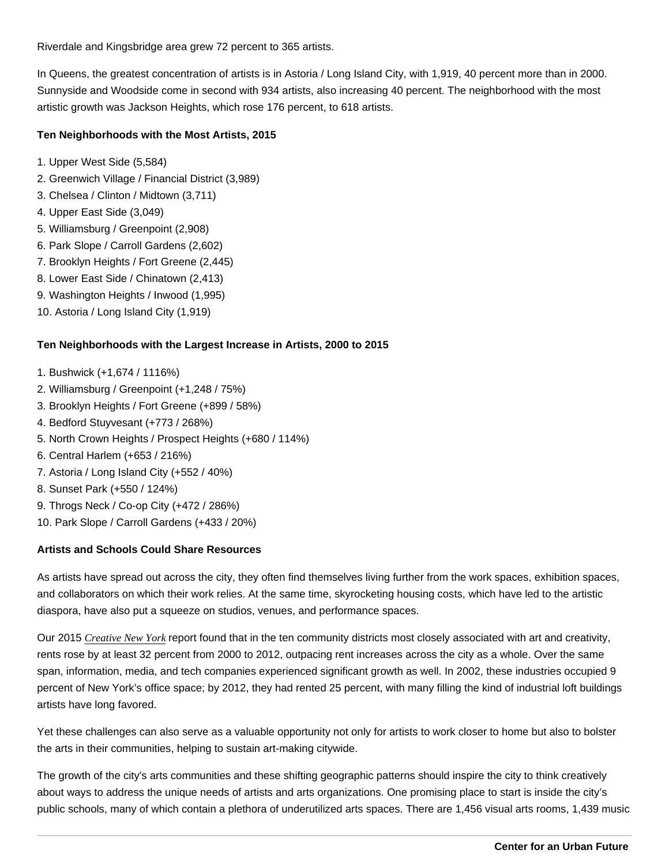Riverdale and Kingsbridge area grew 72 percent to 365 artists.

In Queens, the greatest concentration of artists is in Astoria / Long Island City, with 1,919, 40 percent more than in 2000. Sunnyside and Woodside come in second with 934 artists, also increasing 40 percent. The neighborhood with the most artistic growth was Jackson Heights, which rose 176 percent, to 618 artists.

Ten Neighborhoods with the Most Artists, 2015

- 1. Upper West Side (5,584)
- 2. Greenwich Village / Financial District (3,989)
- 3. Chelsea / Clinton / Midtown (3,711)
- 4. Upper East Side (3,049)
- 5. Williamsburg / Greenpoint (2,908)
- 6. Park Slope / Carroll Gardens (2,602)
- 7. Brooklyn Heights / Fort Greene (2,445)
- 8. Lower East Side / Chinatown (2,413)
- 9. Washington Heights / Inwood (1,995)
- 10. Astoria / Long Island City (1,919)

Ten Neighborhoods with the Largest Increase in Artists, 2000 to 2015

- 1. Bushwick (+1,674 / 1116%)
- 2. Williamsburg / Greenpoint (+1,248 / 75%)
- 3. Brooklyn Heights / Fort Greene (+899 / 58%)
- 4. Bedford Stuyvesant (+773 / 268%)
- 5. North Crown Heights / Prospect Heights (+680 / 114%)
- 6. Central Harlem (+653 / 216%)
- 7. Astoria / Long Island City (+552 / 40%)
- 8. Sunset Park (+550 / 124%)
- 9. Throgs Neck / Co-op City (+472 / 286%)
- 10. Park Slope / Carroll Gardens (+433 / 20%)

Artists and Schools Could Share Resources

As artists have spread out across the city, they often find themselves living further from the work spaces, exhibition spaces, and collaborators on which their work relies. At the same time, skyrocketing housing costs, which have led to the artistic diaspora, have also put a squeeze on studios, venues, and performance spaces.

Our 2015 [Creative New Yor](https://nycfuture.org/research/creative-new-york-2015)keportfound that in the ten community districts most closely associated with art and creativity, rents rose by at least 32 percent from 2000 to 2012, outpacing rent increases across the city as a whole. Over the same span, information, media, and tech companies experienced significant growth as well. In 2002, these industries occupied 9 percent of New York's office space; by 2012, they had rented 25 percent, with many filling the kind of industrial loft buildings artists have long favored.

Yet these challenges can also serve as a valuable opportunity not only for artists to work closer to home but also to bolster the arts in their communities, helping to sustain art-making citywide.

The growth of the city's arts communities and these shifting geographic patterns should inspire the city to think creatively about ways to address the unique needs of artists and arts organizations. One promising place to start is inside the city's public schools, many of which contain a plethora of underutilized arts spaces. There are 1,456 visual arts rooms, 1,439 music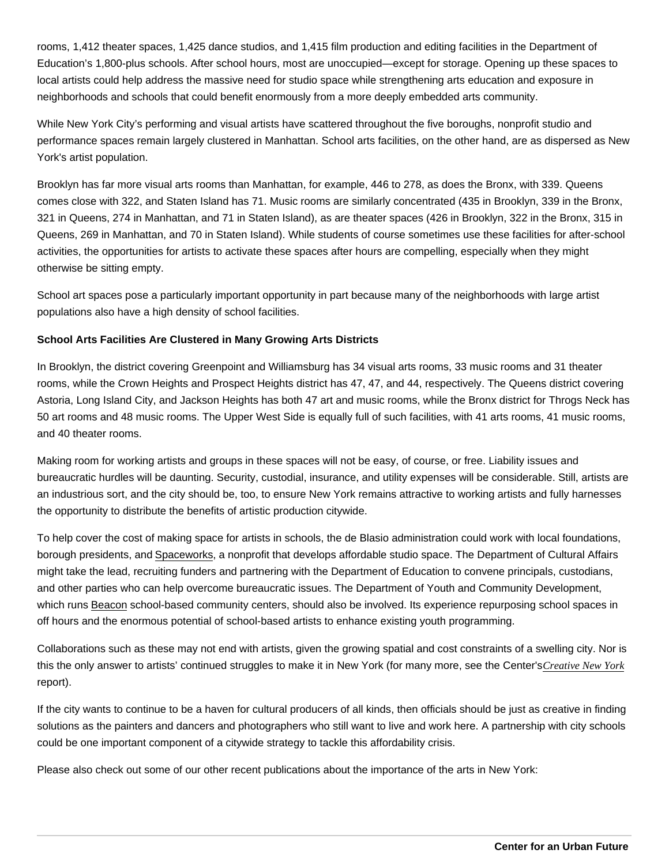rooms, 1,412 theater spaces, 1,425 dance studios, and 1,415 film production and editing facilities in the Department of Education's 1,800-plus schools. After school hours, most are unoccupied—except for storage. Opening up these spaces to local artists could help address the massive need for studio space while strengthening arts education and exposure in neighborhoods and schools that could benefit enormously from a more deeply embedded arts community.

While New York City's performing and visual artists have scattered throughout the five boroughs, nonprofit studio and performance spaces remain largely clustered in Manhattan. School arts facilities, on the other hand, are as dispersed as New York's artist population.

Brooklyn has far more visual arts rooms than Manhattan, for example, 446 to 278, as does the Bronx, with 339. Queens comes close with 322, and Staten Island has 71. Music rooms are similarly concentrated (435 in Brooklyn, 339 in the Bronx, 321 in Queens, 274 in Manhattan, and 71 in Staten Island), as are theater spaces (426 in Brooklyn, 322 in the Bronx, 315 in Queens, 269 in Manhattan, and 70 in Staten Island). While students of course sometimes use these facilities for after-school activities, the opportunities for artists to activate these spaces after hours are compelling, especially when they might otherwise be sitting empty.

School art spaces pose a particularly important opportunity in part because many of the neighborhoods with large artist populations also have a high density of school facilities.

School Arts Facilities Are Clustered in Many Growing Arts Districts

In Brooklyn, the district covering Greenpoint and Williamsburg has 34 visual arts rooms, 33 music rooms and 31 theater rooms, while the Crown Heights and Prospect Heights district has 47, 47, and 44, respectively. The Queens district covering Astoria, Long Island City, and Jackson Heights has both 47 art and music rooms, while the Bronx district for Throgs Neck has 50 art rooms and 48 music rooms. The Upper West Side is equally full of such facilities, with 41 arts rooms, 41 music rooms, and 40 theater rooms.

Making room for working artists and groups in these spaces will not be easy, of course, or free. Liability issues and bureaucratic hurdles will be daunting. Security, custodial, insurance, and utility expenses will be considerable. Still, artists are an industrious sort, and the city should be, too, to ensure New York remains attractive to working artists and fully harnesses the opportunity to distribute the benefits of artistic production citywide.

To help cover the cost of making space for artists in schools, the de Blasio administration could work with local foundations, borough presidents, and [Spaceworks,](https://spaceworksnyc.org/) a nonprofit that develops affordable studio space. The Department of Cultural Affairs might take the lead, recruiting funders and partnering with the Department of Education to convene principals, custodians, and other parties who can help overcome bureaucratic issues. The Department of Youth and Community Development, which runs [Beacon](https://www1.nyc.gov/site/dycd/services/after-school/beacon.page) school-based community centers, should also be involved. Its experience repurposing school spaces in off hours and the enormous potential of school-based artists to enhance existing youth programming.

Collaborations such as these may not end with artists, given the growing spatial and cost constraints of a swelling city. Nor is this the only answer to artists' continued struggles to make it in New York (for many more, see the Center's [Creative New Yor](https://nycfuture.org/research/creative-new-york-2015)k report).

If the city wants to continue to be a haven for cultural producers of all kinds, then officials should be just as creative in finding solutions as the painters and dancers and photographers who still want to live and work here. A partnership with city schools could be one important component of a citywide strategy to tackle this affordability crisis.

Please also check out some of our other recent publications about the importance of the arts in New York: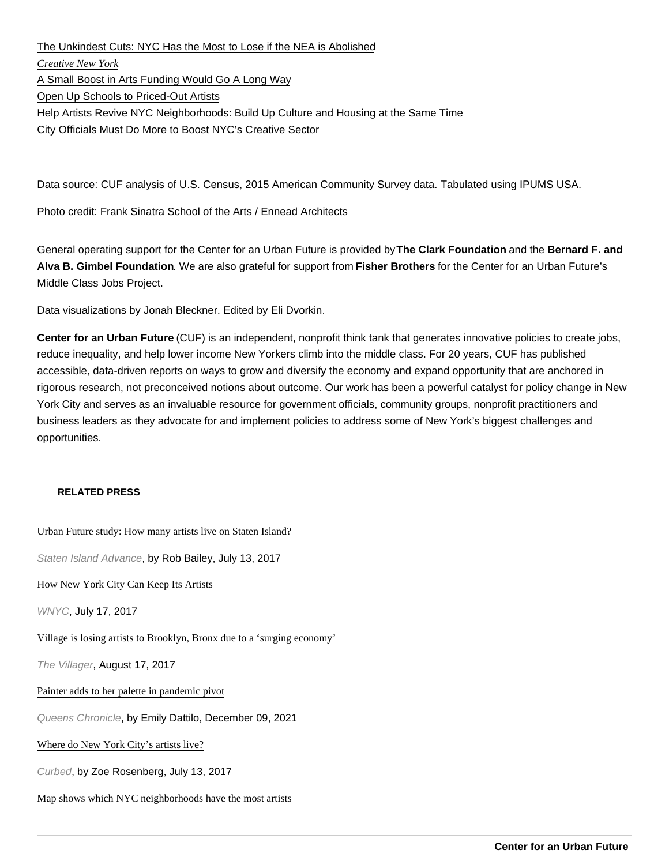[The Unkindest Cuts: NYC Has the Most to Lose if the NEA is Abolished](https://nycfuture.org/data/unkindest-cuts-nea-cuts-hurt-new-york-city-most) [Creative New Yor](https://nycfuture.org/research/creative-new-york-2015)k [A Small Boost in Arts Funding Would Go A Long Way](http://goo.gl/k0uGHi) [Open Up Schools to Priced-Out Artists](http://goo.gl/RA6J3D) [Help Artists Revive NYC Neighborhoods: Build Up Culture and Housing at the Same Time](http://goo.gl/QnnUiS) [City Officials Must Do More to Boost NYC's Creative Sector](http://goo.gl/QmDKJZ)

Data source: CUF analysis of U.S. Census, 2015 American Community Survey data. Tabulated using IPUMS USA.

Photo credit: Frank Sinatra School of the Arts / Ennead Architects

General operating support for the Center for an Urban Future is provided by The Clark Foundation and the Bernard F. and Alva B. Gimbel Foundation . We are also grateful for support from Fisher Brothers for the Center for an Urban Future's Middle Class Jobs Project.

Data visualizations by Jonah Bleckner. Edited by Eli Dvorkin.

Center for an Urban Future (CUF) is an independent, nonprofit think tank that generates innovative policies to create jobs, reduce inequality, and help lower income New Yorkers climb into the middle class. For 20 years, CUF has published accessible, data-driven reports on ways to grow and diversify the economy and expand opportunity that are anchored in rigorous research, not preconceived notions about outcome. Our work has been a powerful catalyst for policy change in New York City and serves as an invaluable resource for government officials, community groups, nonprofit practitioners and business leaders as they advocate for and implement policies to address some of New York's biggest challenges and opportunities.

## RELATED PRESS

[Urban Future study: How many artists live on Staten Isl](http://www.silive.com/entertainment/index.ssf/2017/07/where_do_all_the_artists_live.html)and?

Staten Island Advance, by Rob Bailey, July 13, 2017

[How New York City Can Keep Its Artis](http://www.wnyc.org/story/how-retain-artists)ts

WNYC, July 17, 2017

[Village is losing artists to Brooklyn, Bronx due to a 'surging econo](http://thevillager.com/2017/08/17/village-is-losing-artists-to-brooklyn-bronx-due-to-a-surging-economy/)my'

The Villager, August 17, 2017

[Painter adds to her palette in pandemic p](https://www.qchron.com/editions/south/painter-adds-to-her-palette-in-pandemic-pivot/article_751ec07d-c9f5-527d-887a-743c7209bcd9.html)ivot

Queens Chronicle, by Emily Dattilo, December 09, 2021

[Where do New York City's artists live](https://ny.curbed.com/2017/7/13/15964650/where-do-new-york-citys-artists-live)?

Curbed, by Zoe Rosenberg, July 13, 2017

[Map shows which NYC neighborhoods have the most a](https://www.timeout.com/newyork/blog/map-shows-which-nyc-neighborhoods-have-the-most-artists-071817)rtists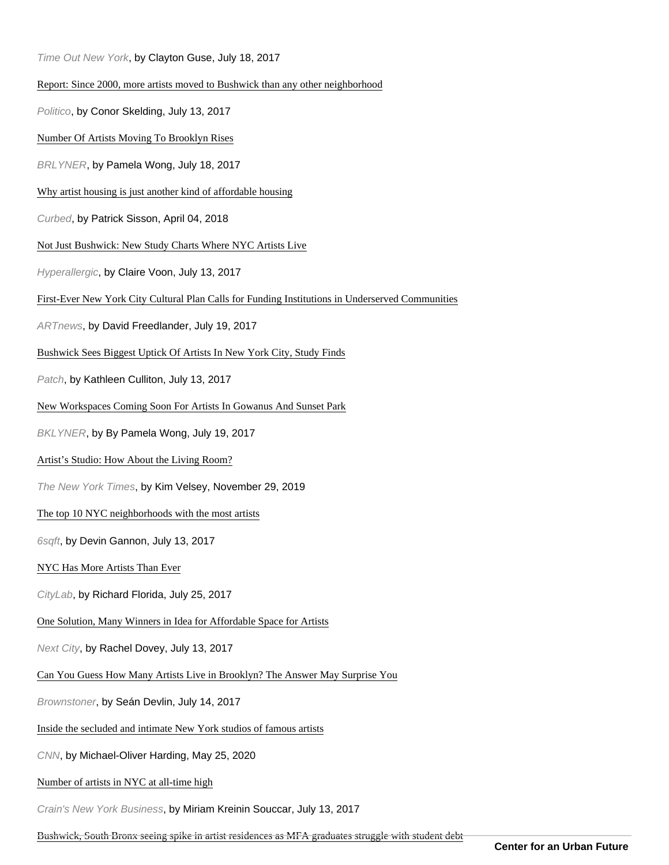| Time Out New York, by Clayton Guse, July 18, 2017                                                |
|--------------------------------------------------------------------------------------------------|
| Report: Since 2000, more artists moved to Bushwick than any other neighborhood                   |
| Politico, by Conor Skelding, July 13, 2017                                                       |
| Number Of Artists Moving To Brooklyn Rises                                                       |
| BRLYNER, by Pamela Wong, July 18, 2017                                                           |
| Why artist housing is just another kind of affordable housing                                    |
| Curbed, by Patrick Sisson, April 04, 2018                                                        |
| Not Just Bushwick: New Study Charts Where NYC Artists Live                                       |
| Hyperallergic, by Claire Voon, July 13, 2017                                                     |
| First-Ever New York City Cultural Plan Calls for Funding Institutions in Underserved Communities |
| ARTnews, by David Freedlander, July 19, 2017                                                     |
| Bushwick Sees Biggest Uptick Of Artists In New York City, Study Finds                            |
| Patch, by Kathleen Culliton, July 13, 2017                                                       |
| New Workspaces Coming Soon For Artists In Gowanus And Sunset Park                                |
| BKLYNER, by By Pamela Wong, July 19, 2017                                                        |
| Artist's Studio: How About the Living Room?                                                      |
| The New York Times, by Kim Velsey, November 29, 2019                                             |
| The top 10 NYC neighborhoods with the most artists                                               |
| 6sqft, by Devin Gannon, July 13, 2017                                                            |
| NYC Has More Artists Than Ever                                                                   |
| CityLab, by Richard Florida, July 25, 2017                                                       |
| One Solution, Many Winners in Idea for Affordable Space for Artists                              |
| Next City, by Rachel Dovey, July 13, 2017                                                        |
| Can You Guess How Many Artists Live in Brooklyn? The Answer May Surprise You                     |
| Brownstoner, by Seán Devlin, July 14, 2017                                                       |
| Inside the secluded and intimate New York studios of famous artists                              |
| CNN, by Michael-Oliver Harding, May 25, 2020                                                     |
| Number of artists in NYC at all-time high                                                        |
| Crain's New York Business, by Miriam Kreinin Souccar, July 13, 2017                              |

[Bushwick, South Bronx seeing spike in artist residences as MFA graduates struggle with stu](http://www.amny.com/news/bushwick-south-bronx-seeing-spike-in-artist-residences-as-mfa-graduates-struggle-with-student-debt-1.13804145)dent debt